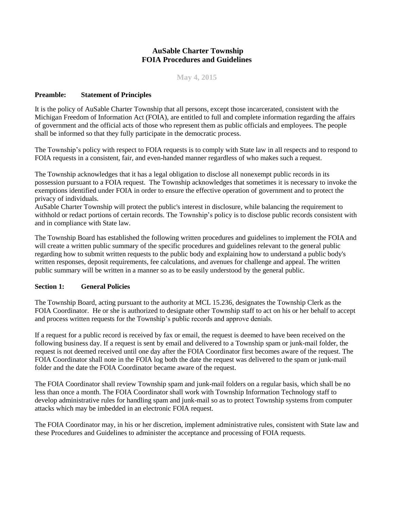## **AuSable Charter Township FOIA Procedures and Guidelines**

**May 4, 2015**

### **Preamble: Statement of Principles**

It is the policy of AuSable Charter Township that all persons, except those incarcerated, consistent with the Michigan Freedom of Information Act (FOIA), are entitled to full and complete information regarding the affairs of government and the official acts of those who represent them as public officials and employees. The people shall be informed so that they fully participate in the democratic process.

The Township's policy with respect to FOIA requests is to comply with State law in all respects and to respond to FOIA requests in a consistent, fair, and even-handed manner regardless of who makes such a request.

The Township acknowledges that it has a legal obligation to disclose all nonexempt public records in its possession pursuant to a FOIA request. The Township acknowledges that sometimes it is necessary to invoke the exemptions identified under FOIA in order to ensure the effective operation of government and to protect the privacy of individuals.

AuSable Charter Township will protect the public's interest in disclosure, while balancing the requirement to withhold or redact portions of certain records. The Township's policy is to disclose public records consistent with and in compliance with State law.

The Township Board has established the following written procedures and guidelines to implement the FOIA and will create a written public summary of the specific procedures and guidelines relevant to the general public regarding how to submit written requests to the public body and explaining how to understand a public body's written responses, deposit requirements, fee calculations, and avenues for challenge and appeal. The written public summary will be written in a manner so as to be easily understood by the general public.

### **Section 1: General Policies**

The Township Board, acting pursuant to the authority at MCL 15.236, designates the Township Clerk as the FOIA Coordinator. He or she is authorized to designate other Township staff to act on his or her behalf to accept and process written requests for the Township's public records and approve denials.

If a request for a public record is received by fax or email, the request is deemed to have been received on the following business day. If a request is sent by email and delivered to a Township spam or junk-mail folder, the request is not deemed received until one day after the FOIA Coordinator first becomes aware of the request. The FOIA Coordinator shall note in the FOIA log both the date the request was delivered to the spam or junk-mail folder and the date the FOIA Coordinator became aware of the request.

The FOIA Coordinator shall review Township spam and junk-mail folders on a regular basis, which shall be no less than once a month. The FOIA Coordinator shall work with Township Information Technology staff to develop administrative rules for handling spam and junk-mail so as to protect Township systems from computer attacks which may be imbedded in an electronic FOIA request.

The FOIA Coordinator may, in his or her discretion, implement administrative rules, consistent with State law and these Procedures and Guidelines to administer the acceptance and processing of FOIA requests.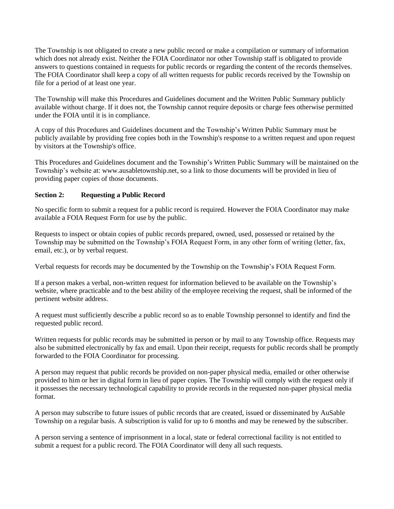The Township is not obligated to create a new public record or make a compilation or summary of information which does not already exist. Neither the FOIA Coordinator nor other Township staff is obligated to provide answers to questions contained in requests for public records or regarding the content of the records themselves. The FOIA Coordinator shall keep a copy of all written requests for public records received by the Township on file for a period of at least one year.

The Township will make this Procedures and Guidelines document and the Written Public Summary publicly available without charge. If it does not, the Township cannot require deposits or charge fees otherwise permitted under the FOIA until it is in compliance.

A copy of this Procedures and Guidelines document and the Township's Written Public Summary must be publicly available by providing free copies both in the Township's response to a written request and upon request by visitors at the Township's office.

This Procedures and Guidelines document and the Township's Written Public Summary will be maintained on the Township's website at: www.ausabletownship.net, so a link to those documents will be provided in lieu of providing paper copies of those documents.

## **Section 2: Requesting a Public Record**

No specific form to submit a request for a public record is required. However the FOIA Coordinator may make available a FOIA Request Form for use by the public.

Requests to inspect or obtain copies of public records prepared, owned, used, possessed or retained by the Township may be submitted on the Township's FOIA Request Form, in any other form of writing (letter, fax, email, etc.), or by verbal request.

Verbal requests for records may be documented by the Township on the Township's FOIA Request Form.

If a person makes a verbal, non-written request for information believed to be available on the Township's website, where practicable and to the best ability of the employee receiving the request, shall be informed of the pertinent website address.

A request must sufficiently describe a public record so as to enable Township personnel to identify and find the requested public record.

Written requests for public records may be submitted in person or by mail to any Township office. Requests may also be submitted electronically by fax and email. Upon their receipt, requests for public records shall be promptly forwarded to the FOIA Coordinator for processing.

A person may request that public records be provided on non-paper physical media, emailed or other otherwise provided to him or her in digital form in lieu of paper copies. The Township will comply with the request only if it possesses the necessary technological capability to provide records in the requested non-paper physical media format.

A person may subscribe to future issues of public records that are created, issued or disseminated by AuSable Township on a regular basis. A subscription is valid for up to 6 months and may be renewed by the subscriber.

A person serving a sentence of imprisonment in a local, state or federal correctional facility is not entitled to submit a request for a public record. The FOIA Coordinator will deny all such requests.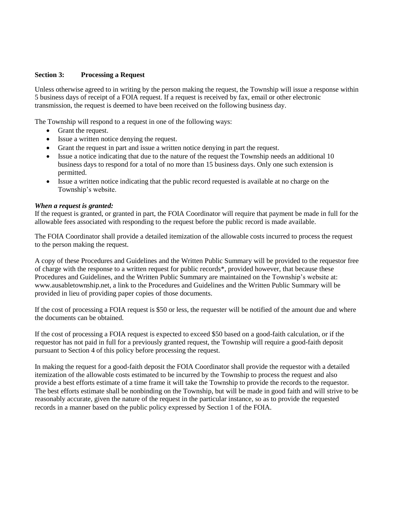### **Section 3: Processing a Request**

Unless otherwise agreed to in writing by the person making the request, the Township will issue a response within 5 business days of receipt of a FOIA request. If a request is received by fax, email or other electronic transmission, the request is deemed to have been received on the following business day.

The Township will respond to a request in one of the following ways:

- Grant the request.
- Issue a written notice denying the request.
- Grant the request in part and issue a written notice denying in part the request.
- Issue a notice indicating that due to the nature of the request the Township needs an additional 10 business days to respond for a total of no more than 15 business days. Only one such extension is permitted.
- Issue a written notice indicating that the public record requested is available at no charge on the Township's website.

#### *When a request is granted:*

If the request is granted, or granted in part, the FOIA Coordinator will require that payment be made in full for the allowable fees associated with responding to the request before the public record is made available.

The FOIA Coordinator shall provide a detailed itemization of the allowable costs incurred to process the request to the person making the request.

A copy of these Procedures and Guidelines and the Written Public Summary will be provided to the requestor free of charge with the response to a written request for public records\*, provided however, that because these Procedures and Guidelines, and the Written Public Summary are maintained on the Township's website at: www.ausabletownship.net, a link to the Procedures and Guidelines and the Written Public Summary will be provided in lieu of providing paper copies of those documents.

If the cost of processing a FOIA request is \$50 or less, the requester will be notified of the amount due and where the documents can be obtained.

If the cost of processing a FOIA request is expected to exceed \$50 based on a good-faith calculation, or if the requestor has not paid in full for a previously granted request, the Township will require a good-faith deposit pursuant to Section 4 of this policy before processing the request.

In making the request for a good-faith deposit the FOIA Coordinator shall provide the requestor with a detailed itemization of the allowable costs estimated to be incurred by the Township to process the request and also provide a best efforts estimate of a time frame it will take the Township to provide the records to the requestor. The best efforts estimate shall be nonbinding on the Township, but will be made in good faith and will strive to be reasonably accurate, given the nature of the request in the particular instance, so as to provide the requested records in a manner based on the public policy expressed by Section 1 of the FOIA.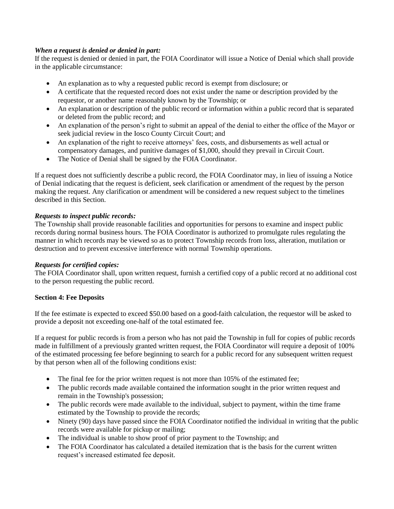## *When a request is denied or denied in part:*

If the request is denied or denied in part, the FOIA Coordinator will issue a Notice of Denial which shall provide in the applicable circumstance:

- An explanation as to why a requested public record is exempt from disclosure; or
- A certificate that the requested record does not exist under the name or description provided by the requestor, or another name reasonably known by the Township; or
- An explanation or description of the public record or information within a public record that is separated or deleted from the public record; and
- An explanation of the person's right to submit an appeal of the denial to either the office of the Mayor or seek judicial review in the Iosco County Circuit Court; and
- An explanation of the right to receive attorneys' fees, costs, and disbursements as well actual or compensatory damages, and punitive damages of \$1,000, should they prevail in Circuit Court.
- The Notice of Denial shall be signed by the FOIA Coordinator.

If a request does not sufficiently describe a public record, the FOIA Coordinator may, in lieu of issuing a Notice of Denial indicating that the request is deficient, seek clarification or amendment of the request by the person making the request. Any clarification or amendment will be considered a new request subject to the timelines described in this Section.

## *Requests to inspect public records:*

The Township shall provide reasonable facilities and opportunities for persons to examine and inspect public records during normal business hours. The FOIA Coordinator is authorized to promulgate rules regulating the manner in which records may be viewed so as to protect Township records from loss, alteration, mutilation or destruction and to prevent excessive interference with normal Township operations.

### *Requests for certified copies:*

The FOIA Coordinator shall, upon written request, furnish a certified copy of a public record at no additional cost to the person requesting the public record.

### **Section 4: Fee Deposits**

If the fee estimate is expected to exceed \$50.00 based on a good-faith calculation, the requestor will be asked to provide a deposit not exceeding one-half of the total estimated fee.

If a request for public records is from a person who has not paid the Township in full for copies of public records made in fulfillment of a previously granted written request, the FOIA Coordinator will require a deposit of 100% of the estimated processing fee before beginning to search for a public record for any subsequent written request by that person when all of the following conditions exist:

- The final fee for the prior written request is not more than 105% of the estimated fee;
- The public records made available contained the information sought in the prior written request and remain in the Township's possession;
- The public records were made available to the individual, subject to payment, within the time frame estimated by the Township to provide the records;
- Ninety (90) days have passed since the FOIA Coordinator notified the individual in writing that the public records were available for pickup or mailing;
- The individual is unable to show proof of prior payment to the Township; and
- The FOIA Coordinator has calculated a detailed itemization that is the basis for the current written request's increased estimated fee deposit.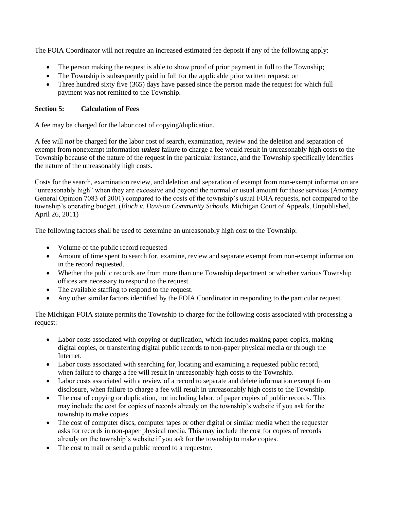The FOIA Coordinator will not require an increased estimated fee deposit if any of the following apply:

- The person making the request is able to show proof of prior payment in full to the Township;
- The Township is subsequently paid in full for the applicable prior written request; or
- Three hundred sixty five (365) days have passed since the person made the request for which full payment was not remitted to the Township.

## **Section 5: Calculation of Fees**

A fee may be charged for the labor cost of copying/duplication.

A fee will *not* be charged for the labor cost of search, examination, review and the deletion and separation of exempt from nonexempt information *unless* failure to charge a fee would result in unreasonably high costs to the Township because of the nature of the request in the particular instance, and the Township specifically identifies the nature of the unreasonably high costs.

Costs for the search, examination review, and deletion and separation of exempt from non-exempt information are "unreasonably high" when they are excessive and beyond the normal or usual amount for those services (Attorney General Opinion 7083 of 2001) compared to the costs of the township's usual FOIA requests, not compared to the township's operating budget. (*Bloch v. Davison Community Schools*, Michigan Court of Appeals, Unpublished, April 26, 2011)

The following factors shall be used to determine an unreasonably high cost to the Township:

- Volume of the public record requested
- Amount of time spent to search for, examine, review and separate exempt from non-exempt information in the record requested.
- Whether the public records are from more than one Township department or whether various Township offices are necessary to respond to the request.
- The available staffing to respond to the request.
- Any other similar factors identified by the FOIA Coordinator in responding to the particular request.

The Michigan FOIA statute permits the Township to charge for the following costs associated with processing a request:

- Labor costs associated with copying or duplication, which includes making paper copies, making digital copies, or transferring digital public records to non-paper physical media or through the Internet.
- Labor costs associated with searching for, locating and examining a requested public record, when failure to charge a fee will result in unreasonably high costs to the Township.
- Labor costs associated with a review of a record to separate and delete information exempt from disclosure, when failure to charge a fee will result in unreasonably high costs to the Township.
- The cost of copying or duplication, not including labor, of paper copies of public records. This may include the cost for copies of records already on the township's website if you ask for the township to make copies.
- The cost of computer discs, computer tapes or other digital or similar media when the requester asks for records in non-paper physical media. This may include the cost for copies of records already on the township's website if you ask for the township to make copies.
- The cost to mail or send a public record to a requestor.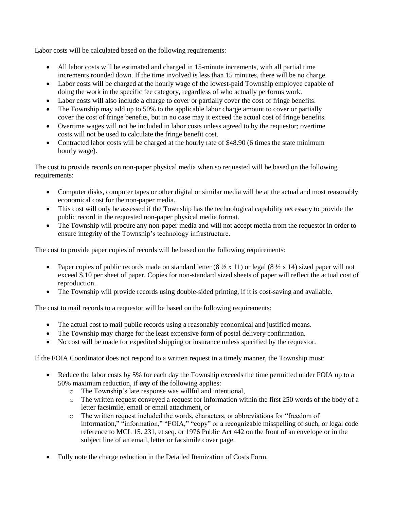Labor costs will be calculated based on the following requirements:

- All labor costs will be estimated and charged in 15-minute increments, with all partial time increments rounded down. If the time involved is less than 15 minutes, there will be no charge.
- Labor costs will be charged at the hourly wage of the lowest-paid Township employee capable of doing the work in the specific fee category, regardless of who actually performs work.
- Labor costs will also include a charge to cover or partially cover the cost of fringe benefits.
- The Township may add up to 50% to the applicable labor charge amount to cover or partially cover the cost of fringe benefits, but in no case may it exceed the actual cost of fringe benefits.
- Overtime wages will not be included in labor costs unless agreed to by the requestor; overtime costs will not be used to calculate the fringe benefit cost.
- Contracted labor costs will be charged at the hourly rate of \$48.90 (6 times the state minimum hourly wage).

The cost to provide records on non-paper physical media when so requested will be based on the following requirements:

- Computer disks, computer tapes or other digital or similar media will be at the actual and most reasonably economical cost for the non-paper media.
- This cost will only be assessed if the Township has the technological capability necessary to provide the public record in the requested non-paper physical media format.
- The Township will procure any non-paper media and will not accept media from the requestor in order to ensure integrity of the Township's technology infrastructure.

The cost to provide paper copies of records will be based on the following requirements:

- Paper copies of public records made on standard letter  $(8 \frac{1}{2} \times 11)$  or legal  $(8 \frac{1}{2} \times 14)$  sized paper will not exceed \$.10 per sheet of paper. Copies for non-standard sized sheets of paper will reflect the actual cost of reproduction.
- The Township will provide records using double-sided printing, if it is cost-saving and available.

The cost to mail records to a requestor will be based on the following requirements:

- The actual cost to mail public records using a reasonably economical and justified means.
- The Township may charge for the least expensive form of postal delivery confirmation.
- No cost will be made for expedited shipping or insurance unless specified by the requestor.

If the FOIA Coordinator does not respond to a written request in a timely manner, the Township must:

- Reduce the labor costs by 5% for each day the Township exceeds the time permitted under FOIA up to a 50% maximum reduction, if *any* of the following applies:
	- o The Township's late response was willful and intentional,
	- o The written request conveyed a request for information within the first 250 words of the body of a letter facsimile, email or email attachment, or
	- o The written request included the words, characters, or abbreviations for "freedom of information," "information," "FOIA," "copy" or a recognizable misspelling of such, or legal code reference to MCL 15. 231, et seq. or 1976 Public Act 442 on the front of an envelope or in the subject line of an email, letter or facsimile cover page.
- Fully note the charge reduction in the Detailed Itemization of Costs Form.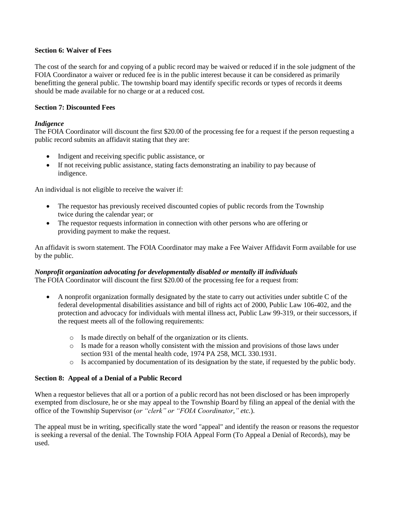### **Section 6: Waiver of Fees**

The cost of the search for and copying of a public record may be waived or reduced if in the sole judgment of the FOIA Coordinator a waiver or reduced fee is in the public interest because it can be considered as primarily benefitting the general public. The township board may identify specific records or types of records it deems should be made available for no charge or at a reduced cost.

### **Section 7: Discounted Fees**

## *Indigence*

The FOIA Coordinator will discount the first \$20.00 of the processing fee for a request if the person requesting a public record submits an affidavit stating that they are:

- Indigent and receiving specific public assistance, or
- If not receiving public assistance, stating facts demonstrating an inability to pay because of indigence.

An individual is not eligible to receive the waiver if:

- The requestor has previously received discounted copies of public records from the Township twice during the calendar year; or
- The requestor requests information in connection with other persons who are offering or providing payment to make the request.

An affidavit is sworn statement. The FOIA Coordinator may make a Fee Waiver Affidavit Form available for use by the public.

# *Nonprofit organization advocating for developmentally disabled or mentally ill individuals*

The FOIA Coordinator will discount the first \$20.00 of the processing fee for a request from:

- A nonprofit organization formally designated by the state to carry out activities under subtitle C of the federal developmental disabilities assistance and bill of rights act of 2000, Public Law 106-402, and the protection and advocacy for individuals with mental illness act, Public Law 99-319, or their successors, if the request meets all of the following requirements:
	- o Is made directly on behalf of the organization or its clients.
	- o Is made for a reason wholly consistent with the mission and provisions of those laws under section 931 of the mental health code, 1974 PA 258, MCL 330.1931.
	- o Is accompanied by documentation of its designation by the state, if requested by the public body.

## **Section 8: Appeal of a Denial of a Public Record**

When a requestor believes that all or a portion of a public record has not been disclosed or has been improperly exempted from disclosure, he or she may appeal to the Township Board by filing an appeal of the denial with the office of the Township Supervisor (*or "clerk" or "FOIA Coordinator," etc.*).

The appeal must be in writing, specifically state the word "appeal" and identify the reason or reasons the requestor is seeking a reversal of the denial. The Township FOIA Appeal Form (To Appeal a Denial of Records), may be used.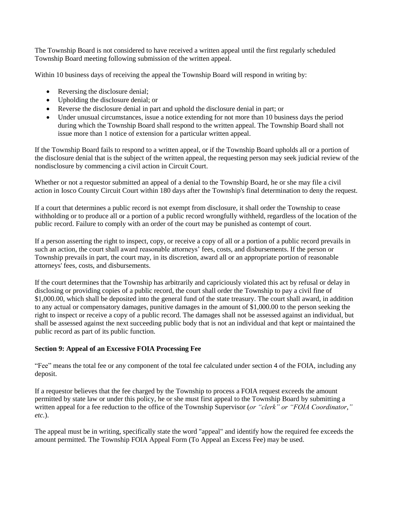The Township Board is not considered to have received a written appeal until the first regularly scheduled Township Board meeting following submission of the written appeal.

Within 10 business days of receiving the appeal the Township Board will respond in writing by:

- Reversing the disclosure denial;
- Upholding the disclosure denial; or
- Reverse the disclosure denial in part and uphold the disclosure denial in part; or
- Under unusual circumstances, issue a notice extending for not more than 10 business days the period during which the Township Board shall respond to the written appeal. The Township Board shall not issue more than 1 notice of extension for a particular written appeal.

If the Township Board fails to respond to a written appeal, or if the Township Board upholds all or a portion of the disclosure denial that is the subject of the written appeal, the requesting person may seek judicial review of the nondisclosure by commencing a civil action in Circuit Court.

Whether or not a requestor submitted an appeal of a denial to the Township Board, he or she may file a civil action in Iosco County Circuit Court within 180 days after the Township's final determination to deny the request.

If a court that determines a public record is not exempt from disclosure, it shall order the Township to cease withholding or to produce all or a portion of a public record wrongfully withheld, regardless of the location of the public record. Failure to comply with an order of the court may be punished as contempt of court.

If a person asserting the right to inspect, copy, or receive a copy of all or a portion of a public record prevails in such an action, the court shall award reasonable attorneys' fees, costs, and disbursements. If the person or Township prevails in part, the court may, in its discretion, award all or an appropriate portion of reasonable attorneys' fees, costs, and disbursements.

If the court determines that the Township has arbitrarily and capriciously violated this act by refusal or delay in disclosing or providing copies of a public record, the court shall order the Township to pay a civil fine of \$1,000.00, which shall be deposited into the general fund of the state treasury. The court shall award, in addition to any actual or compensatory damages, punitive damages in the amount of \$1,000.00 to the person seeking the right to inspect or receive a copy of a public record. The damages shall not be assessed against an individual, but shall be assessed against the next succeeding public body that is not an individual and that kept or maintained the public record as part of its public function.

## **Section 9: Appeal of an Excessive FOIA Processing Fee**

"Fee" means the total fee or any component of the total fee calculated under section 4 of the FOIA, including any deposit.

If a requestor believes that the fee charged by the Township to process a FOIA request exceeds the amount permitted by state law or under this policy, he or she must first appeal to the Township Board by submitting a written appeal for a fee reduction to the office of the Township Supervisor (*or "clerk" or "FOIA Coordinator," etc.*).

The appeal must be in writing, specifically state the word "appeal" and identify how the required fee exceeds the amount permitted. The Township FOIA Appeal Form (To Appeal an Excess Fee) may be used.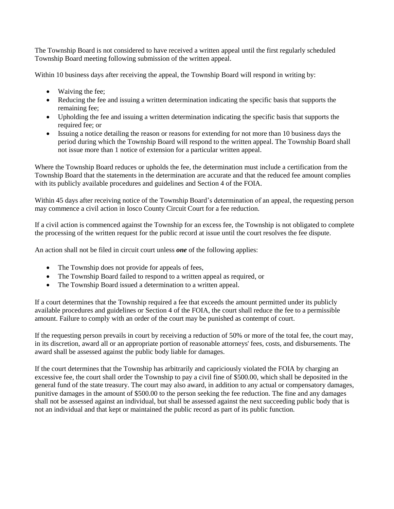The Township Board is not considered to have received a written appeal until the first regularly scheduled Township Board meeting following submission of the written appeal.

Within 10 business days after receiving the appeal, the Township Board will respond in writing by:

- Waiving the fee;
- Reducing the fee and issuing a written determination indicating the specific basis that supports the remaining fee;
- Upholding the fee and issuing a written determination indicating the specific basis that supports the required fee; or
- Issuing a notice detailing the reason or reasons for extending for not more than 10 business days the period during which the Township Board will respond to the written appeal. The Township Board shall not issue more than 1 notice of extension for a particular written appeal.

Where the Township Board reduces or upholds the fee, the determination must include a certification from the Township Board that the statements in the determination are accurate and that the reduced fee amount complies with its publicly available procedures and guidelines and Section 4 of the FOIA.

Within 45 days after receiving notice of the Township Board's determination of an appeal, the requesting person may commence a civil action in Iosco County Circuit Court for a fee reduction.

If a civil action is commenced against the Township for an excess fee, the Township is not obligated to complete the processing of the written request for the public record at issue until the court resolves the fee dispute.

An action shall not be filed in circuit court unless *one* of the following applies:

- The Township does not provide for appeals of fees,
- The Township Board failed to respond to a written appeal as required, or
- The Township Board issued a determination to a written appeal.

If a court determines that the Township required a fee that exceeds the amount permitted under its publicly available procedures and guidelines or Section 4 of the FOIA, the court shall reduce the fee to a permissible amount. Failure to comply with an order of the court may be punished as contempt of court.

If the requesting person prevails in court by receiving a reduction of 50% or more of the total fee, the court may, in its discretion, award all or an appropriate portion of reasonable attorneys' fees, costs, and disbursements. The award shall be assessed against the public body liable for damages.

If the court determines that the Township has arbitrarily and capriciously violated the FOIA by charging an excessive fee, the court shall order the Township to pay a civil fine of \$500.00, which shall be deposited in the general fund of the state treasury. The court may also award, in addition to any actual or compensatory damages, punitive damages in the amount of \$500.00 to the person seeking the fee reduction. The fine and any damages shall not be assessed against an individual, but shall be assessed against the next succeeding public body that is not an individual and that kept or maintained the public record as part of its public function.